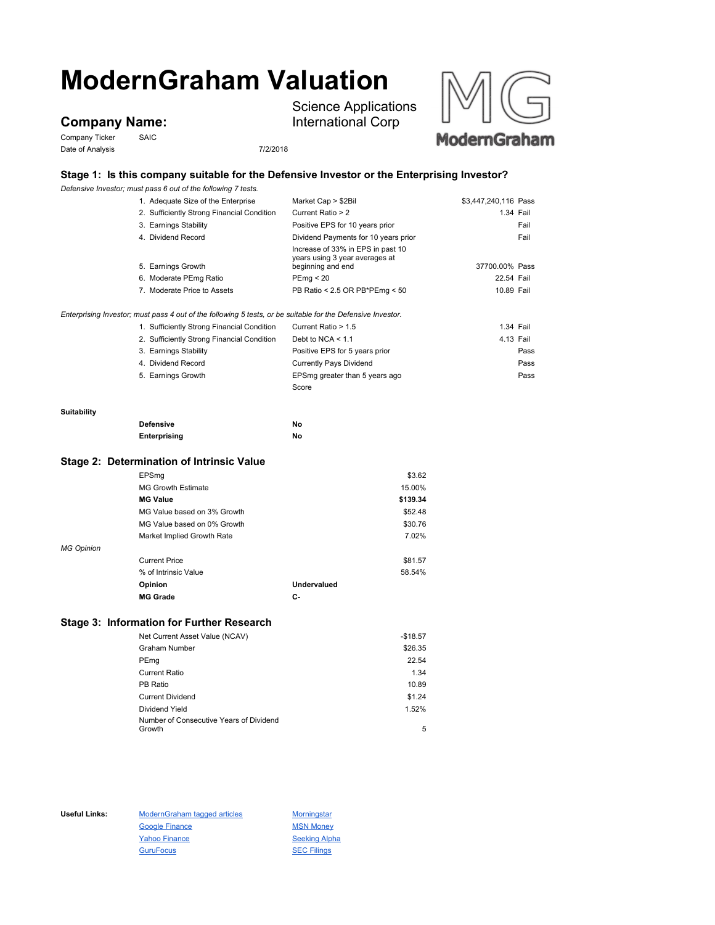# **ModernGraham Valuation**

## **Company Name:**

Company Ticker SAIC Date of Analysis 7/2/2018

Science Applications International Corp



### **Stage 1: Is this company suitable for the Defensive Investor or the Enterprising Investor?**

*Defensive Investor; must pass 6 out of the following 7 tests.*

|                    | 1. Adequate Size of the Enterprise                                                                          | Market Cap > \$2Bil                                 | \$3,447,240,116 Pass |           |
|--------------------|-------------------------------------------------------------------------------------------------------------|-----------------------------------------------------|----------------------|-----------|
|                    | 2. Sufficiently Strong Financial Condition                                                                  | Current Ratio > 2                                   |                      | 1.34 Fail |
|                    | 3. Earnings Stability                                                                                       | Positive EPS for 10 years prior                     |                      | Fail      |
|                    | 4. Dividend Record                                                                                          | Dividend Payments for 10 years prior                |                      | Fail      |
|                    |                                                                                                             | Increase of 33% in EPS in past 10                   |                      |           |
|                    | 5. Earnings Growth                                                                                          | years using 3 year averages at<br>beginning and end | 37700.00% Pass       |           |
|                    | 6. Moderate PEmg Ratio                                                                                      | PEmq < 20                                           | 22.54 Fail           |           |
|                    | 7. Moderate Price to Assets                                                                                 | PB Ratio < 2.5 OR PB*PEmg < 50                      | 10.89 Fail           |           |
|                    |                                                                                                             |                                                     |                      |           |
|                    | Enterprising Investor; must pass 4 out of the following 5 tests, or be suitable for the Defensive Investor. |                                                     |                      |           |
|                    | 1. Sufficiently Strong Financial Condition                                                                  | Current Ratio > 1.5                                 |                      | 1.34 Fail |
|                    | 2. Sufficiently Strong Financial Condition                                                                  | Debt to NCA $<$ 1.1                                 |                      | 4.13 Fail |
|                    | 3. Earnings Stability                                                                                       | Positive EPS for 5 years prior                      |                      | Pass      |
|                    | 4. Dividend Record                                                                                          | <b>Currently Pays Dividend</b>                      |                      | Pass      |
|                    | 5. Earnings Growth                                                                                          | EPSmg greater than 5 years ago                      |                      | Pass      |
|                    |                                                                                                             | Score                                               |                      |           |
| <b>Suitability</b> |                                                                                                             |                                                     |                      |           |
|                    | <b>Defensive</b>                                                                                            | No                                                  |                      |           |
|                    | Enterprising                                                                                                | No                                                  |                      |           |
|                    | Stage 2: Determination of Intrinsic Value                                                                   |                                                     |                      |           |
|                    |                                                                                                             | \$3.62                                              |                      |           |
|                    | EPSmg<br><b>MG Growth Estimate</b>                                                                          | 15.00%                                              |                      |           |
|                    | <b>MG Value</b>                                                                                             | \$139.34                                            |                      |           |
|                    |                                                                                                             |                                                     |                      |           |
|                    | MG Value based on 3% Growth                                                                                 | \$52.48                                             |                      |           |

|                   | <b>MG Grade</b>             | С-          |         |
|-------------------|-----------------------------|-------------|---------|
|                   | Opinion                     | Undervalued |         |
|                   | % of Intrinsic Value        |             | 58.54%  |
|                   | <b>Current Price</b>        |             | \$81.57 |
| <b>MG Opinion</b> |                             |             |         |
|                   | Market Implied Growth Rate  |             | 7.02%   |
|                   | MG Value based on 0% Growth |             | \$30.76 |

#### **Stage 3: Information for Further Research**

| Net Current Asset Value (NCAV)          | $-$18.57$ |
|-----------------------------------------|-----------|
| Graham Number                           | \$26.35   |
| PEmg                                    | 22.54     |
| <b>Current Ratio</b>                    | 1.34      |
| PB Ratio                                | 10.89     |
| <b>Current Dividend</b>                 | \$1.24    |
| Dividend Yield                          | 1.52%     |
| Number of Consecutive Years of Dividend |           |
| Growth                                  | 5         |

Useful Links: ModernGraham tagged articles Morningstar Google Finance MSN Money Yahoo Finance Seeking Alpha GuruFocus **SEC Filings**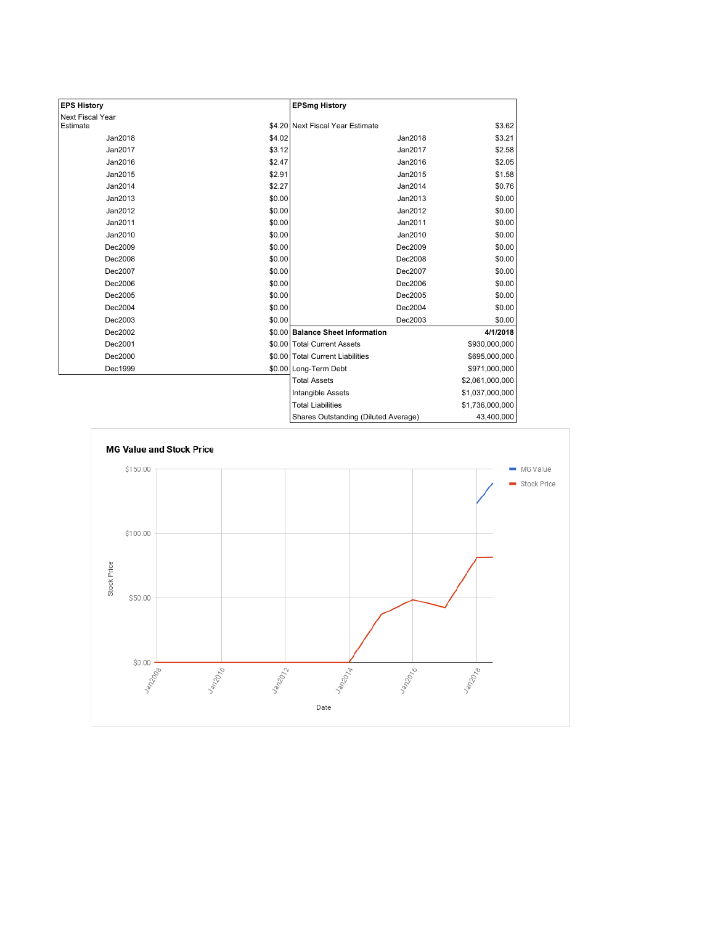| <b>EPS History</b> |        | <b>EPSmg History</b>                 |                 |
|--------------------|--------|--------------------------------------|-----------------|
| Next Fiscal Year   |        |                                      |                 |
| Estimate           |        | \$4.20 Next Fiscal Year Estimate     | \$3.62          |
| Jan2018            | \$4.02 | Jan2018                              | \$3.21          |
| Jan2017            | \$3.12 | Jan2017                              | \$2.58          |
| Jan2016            | \$2.47 | Jan2016                              | \$2.05          |
| Jan2015            | \$2.91 | Jan2015                              | \$1.58          |
| Jan2014            | \$2.27 | Jan2014                              | \$0.76          |
| Jan2013            | \$0.00 | Jan2013                              | \$0.00          |
| Jan2012            | \$0.00 | Jan2012                              | \$0.00          |
| Jan2011            | \$0.00 | Jan2011                              | \$0.00          |
| Jan2010            | \$0.00 | Jan2010                              | \$0.00          |
| Dec2009            | \$0.00 | Dec2009                              | \$0.00          |
| Dec2008            | \$0.00 | Dec2008                              | \$0.00          |
| Dec2007            | \$0.00 | Dec2007                              | \$0.00          |
| Dec2006            | \$0.00 | Dec2006                              | \$0.00          |
| Dec2005            | \$0.00 | Dec2005                              | \$0.00          |
| Dec2004            | \$0.00 | Dec2004                              | \$0.00          |
| Dec2003            | \$0.00 | Dec2003                              | \$0.00          |
| Dec2002            |        | \$0.00 Balance Sheet Information     | 4/1/2018        |
| Dec2001            |        | \$0.00 Total Current Assets          | \$930,000,000   |
| Dec2000            |        | \$0.00 Total Current Liabilities     | \$695,000,000   |
| Dec1999            |        | \$0.00 Long-Term Debt                | \$971,000,000   |
|                    |        | <b>Total Assets</b>                  | \$2,061,000,000 |
|                    |        | <b>Intangible Assets</b>             | \$1,037,000,000 |
|                    |        | <b>Total Liabilities</b>             | \$1,736,000,000 |
|                    |        | Shares Outstanding (Diluted Average) | 43,400,000      |